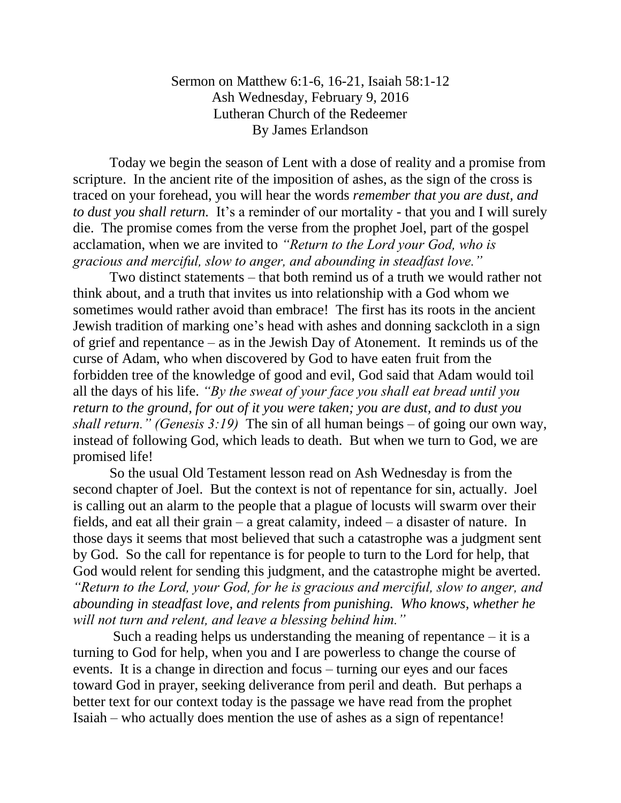Sermon on Matthew 6:1-6, 16-21, Isaiah 58:1-12 Ash Wednesday, February 9, 2016 Lutheran Church of the Redeemer By James Erlandson

Today we begin the season of Lent with a dose of reality and a promise from scripture. In the ancient rite of the imposition of ashes, as the sign of the cross is traced on your forehead, you will hear the words *remember that you are dust, and to dust you shall return.* It's a reminder of our mortality - that you and I will surely die. The promise comes from the verse from the prophet Joel, part of the gospel acclamation, when we are invited to *"Return to the Lord your God, who is gracious and merciful, slow to anger, and abounding in steadfast love."*

Two distinct statements – that both remind us of a truth we would rather not think about, and a truth that invites us into relationship with a God whom we sometimes would rather avoid than embrace! The first has its roots in the ancient Jewish tradition of marking one's head with ashes and donning sackcloth in a sign of grief and repentance – as in the Jewish Day of Atonement. It reminds us of the curse of Adam, who when discovered by God to have eaten fruit from the forbidden tree of the knowledge of good and evil, God said that Adam would toil all the days of his life. *"By the sweat of your face you shall eat bread until you return to the ground, for out of it you were taken; you are dust, and to dust you shall return." (Genesis 3:19)* The sin of all human beings – of going our own way, instead of following God, which leads to death. But when we turn to God, we are promised life!

So the usual Old Testament lesson read on Ash Wednesday is from the second chapter of Joel. But the context is not of repentance for sin, actually. Joel is calling out an alarm to the people that a plague of locusts will swarm over their fields, and eat all their grain – a great calamity, indeed – a disaster of nature. In those days it seems that most believed that such a catastrophe was a judgment sent by God. So the call for repentance is for people to turn to the Lord for help, that God would relent for sending this judgment, and the catastrophe might be averted. *"Return to the Lord, your God, for he is gracious and merciful, slow to anger, and abounding in steadfast love, and relents from punishing. Who knows, whether he will not turn and relent, and leave a blessing behind him."*

Such a reading helps us understanding the meaning of repentance  $-$  it is a turning to God for help, when you and I are powerless to change the course of events. It is a change in direction and focus – turning our eyes and our faces toward God in prayer, seeking deliverance from peril and death. But perhaps a better text for our context today is the passage we have read from the prophet Isaiah – who actually does mention the use of ashes as a sign of repentance!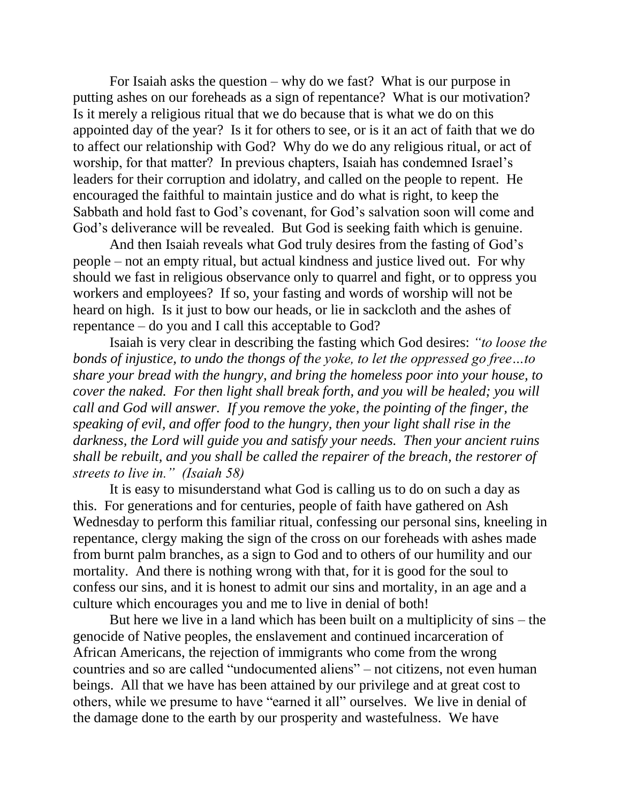For Isaiah asks the question – why do we fast? What is our purpose in putting ashes on our foreheads as a sign of repentance? What is our motivation? Is it merely a religious ritual that we do because that is what we do on this appointed day of the year? Is it for others to see, or is it an act of faith that we do to affect our relationship with God? Why do we do any religious ritual, or act of worship, for that matter? In previous chapters, Isaiah has condemned Israel's leaders for their corruption and idolatry, and called on the people to repent. He encouraged the faithful to maintain justice and do what is right, to keep the Sabbath and hold fast to God's covenant, for God's salvation soon will come and God's deliverance will be revealed. But God is seeking faith which is genuine.

And then Isaiah reveals what God truly desires from the fasting of God's people – not an empty ritual, but actual kindness and justice lived out. For why should we fast in religious observance only to quarrel and fight, or to oppress you workers and employees? If so, your fasting and words of worship will not be heard on high. Is it just to bow our heads, or lie in sackcloth and the ashes of repentance – do you and I call this acceptable to God?

Isaiah is very clear in describing the fasting which God desires: *"to loose the bonds of injustice, to undo the thongs of the yoke, to let the oppressed go free…to share your bread with the hungry, and bring the homeless poor into your house, to cover the naked. For then light shall break forth, and you will be healed; you will call and God will answer. If you remove the yoke, the pointing of the finger, the speaking of evil, and offer food to the hungry, then your light shall rise in the darkness, the Lord will guide you and satisfy your needs. Then your ancient ruins shall be rebuilt, and you shall be called the repairer of the breach, the restorer of streets to live in." (Isaiah 58)*

It is easy to misunderstand what God is calling us to do on such a day as this. For generations and for centuries, people of faith have gathered on Ash Wednesday to perform this familiar ritual, confessing our personal sins, kneeling in repentance, clergy making the sign of the cross on our foreheads with ashes made from burnt palm branches, as a sign to God and to others of our humility and our mortality. And there is nothing wrong with that, for it is good for the soul to confess our sins, and it is honest to admit our sins and mortality, in an age and a culture which encourages you and me to live in denial of both!

But here we live in a land which has been built on a multiplicity of sins – the genocide of Native peoples, the enslavement and continued incarceration of African Americans, the rejection of immigrants who come from the wrong countries and so are called "undocumented aliens" – not citizens, not even human beings. All that we have has been attained by our privilege and at great cost to others, while we presume to have "earned it all" ourselves. We live in denial of the damage done to the earth by our prosperity and wastefulness. We have